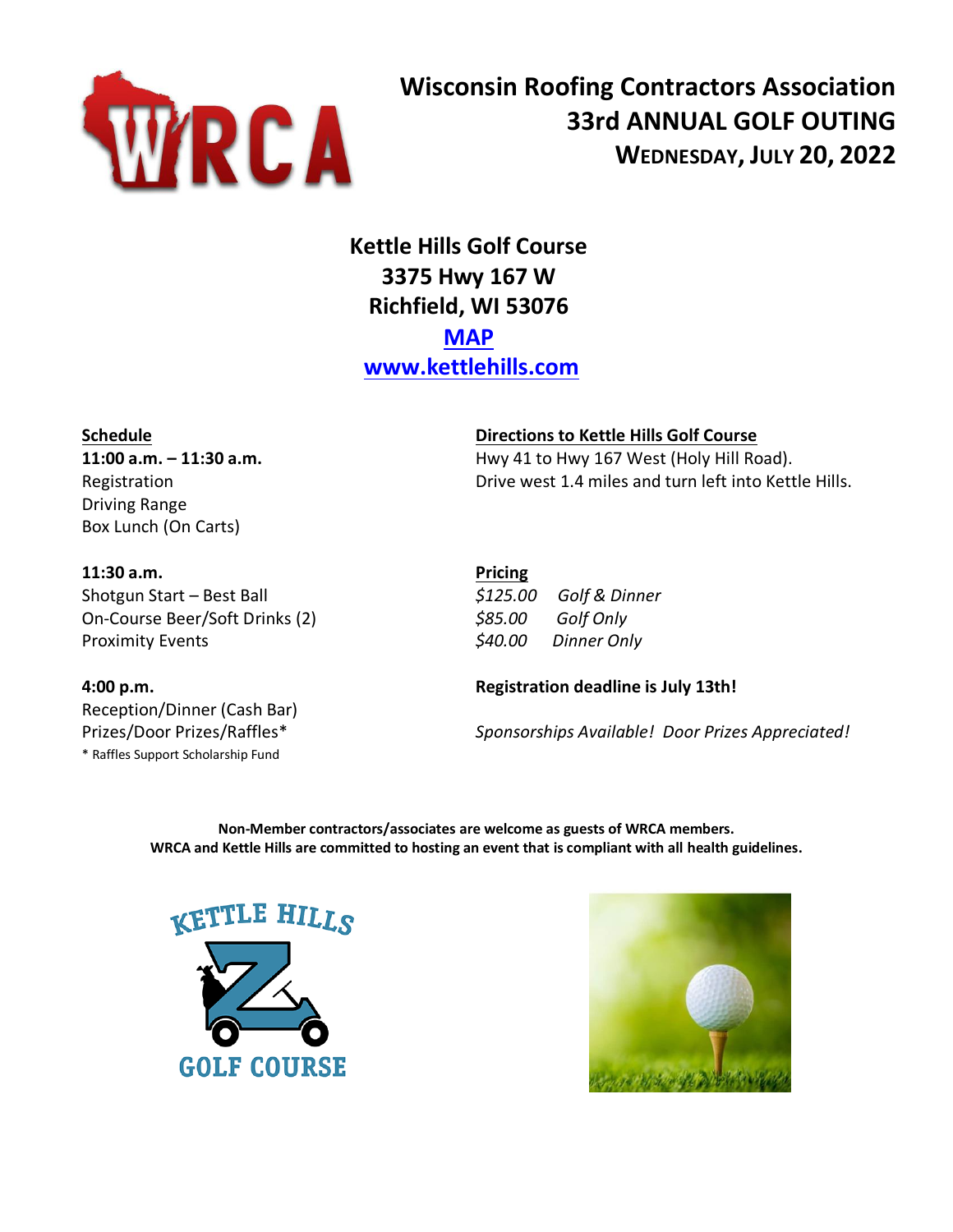

# **Wisconsin Roofing Contractors Association 33rd ANNUAL GOLF OUTING WEDNESDAY, JULY 20, 2022**

## **Kettle Hills Golf Course 3375 Hwy 167 W Richfield, WI 53076 [MAP](https://www.google.com/maps?ll=43.249804,-88.207137&z=16&t=m&hl=en-US&gl=US&mapclient=embed&cid=1367703035493638187) [www.kettlehills.com](http://www.kettlehills.com/)**

Driving Range Box Lunch (On Carts)

#### **Schedule Directions to Kettle Hills Golf Course**

**11:00 a.m.** – **11:30 a.m. https://edge.org/mathematics/mathematics/mathematics/mathematics/mathematics/mathematics/mathematics/mathematics/mathematics/mathematics/mathematics/mathematics/mathematics/mathematics/mathemat** Registration **Drive west 1.4 miles and turn left into Kettle Hills.** 

**11:30 a.m. Pricing** Shotgun Start – Best Ball *\$125.00 Golf & Dinner* On-Course Beer/Soft Drinks (2) *\$85.00 Golf Only* Proximity Events *\$40.00 Dinner Only*

Reception/Dinner (Cash Bar)

\* Raffles Support Scholarship Fund

### **4:00 p.m. Registration deadline is July 13th!**

Prizes/Door Prizes/Raffles\* *Sponsorships Available! Door Prizes Appreciated!*

**Non-Member contractors/associates are welcome as guests of WRCA members. WRCA and Kettle Hills are committed to hosting an event that is compliant with all health guidelines.**